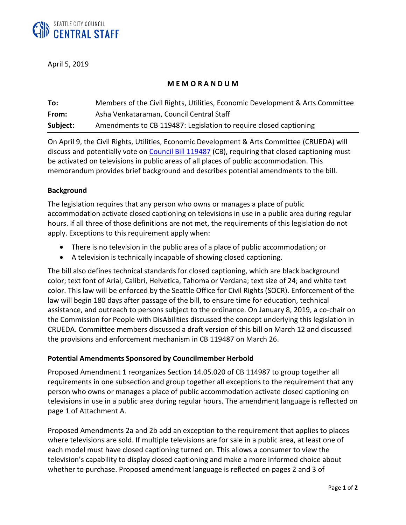

April 5, 2019

# **M E M O R A N D U M**

| To:      | Members of the Civil Rights, Utilities, Economic Development & Arts Committee |
|----------|-------------------------------------------------------------------------------|
| From:    | Asha Venkataraman, Council Central Staff                                      |
| Subject: | Amendments to CB 119487: Legislation to require closed captioning             |

On April 9, the Civil Rights, Utilities, Economic Development & Arts Committee (CRUEDA) will discuss and potentially vote on [Council Bill 119487](https://seattle.legistar.com/LegislationDetail.aspx?ID=3897493&GUID=218415F3-B5E9-44F9-9FCA-3327AFB8AF39&Options=Advanced&Search=) (CB), requiring that closed captioning must be activated on televisions in public areas of all places of public accommodation. This memorandum provides brief background and describes potential amendments to the bill.

### **Background**

The legislation requires that any person who owns or manages a place of public accommodation activate closed captioning on televisions in use in a public area during regular hours. If all three of those definitions are not met, the requirements of this legislation do not apply. Exceptions to this requirement apply when:

- There is no television in the public area of a place of public accommodation; or
- A television is technically incapable of showing closed captioning.

The bill also defines technical standards for closed captioning, which are black background color; text font of Arial, Calibri, Helvetica, Tahoma or Verdana; text size of 24; and white text color. This law will be enforced by the Seattle Office for Civil Rights (SOCR). Enforcement of the law will begin 180 days after passage of the bill, to ensure time for education, technical assistance, and outreach to persons subject to the ordinance. On January 8, 2019, a co-chair on the Commission for People with DisAbilities discussed the concept underlying this legislation in CRUEDA. Committee members discussed a draft version of this bill on March 12 and discussed the provisions and enforcement mechanism in CB 119487 on March 26.

# **Potential Amendments Sponsored by Councilmember Herbold**

Proposed Amendment 1 reorganizes Section 14.05.020 of CB 114987 to group together all requirements in one subsection and group together all exceptions to the requirement that any person who owns or manages a place of public accommodation activate closed captioning on televisions in use in a public area during regular hours. The amendment language is reflected on page 1 of Attachment A.

Proposed Amendments 2a and 2b add an exception to the requirement that applies to places where televisions are sold. If multiple televisions are for sale in a public area, at least one of each model must have closed captioning turned on. This allows a consumer to view the television's capability to display closed captioning and make a more informed choice about whether to purchase. Proposed amendment language is reflected on pages 2 and 3 of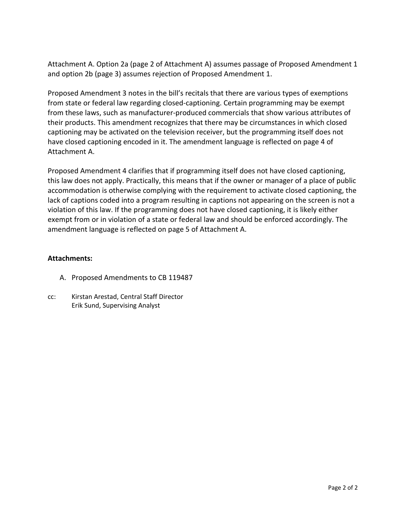Attachment A. Option 2a (page 2 of Attachment A) assumes passage of Proposed Amendment 1 and option 2b (page 3) assumes rejection of Proposed Amendment 1.

Proposed Amendment 3 notes in the bill's recitals that there are various types of exemptions from state or federal law regarding closed-captioning. Certain programming may be exempt from these laws, such as manufacturer-produced commercials that show various attributes of their products. This amendment recognizes that there may be circumstances in which closed captioning may be activated on the television receiver, but the programming itself does not have closed captioning encoded in it. The amendment language is reflected on page 4 of Attachment A.

Proposed Amendment 4 clarifies that if programming itself does not have closed captioning, this law does not apply. Practically, this means that if the owner or manager of a place of public accommodation is otherwise complying with the requirement to activate closed captioning, the lack of captions coded into a program resulting in captions not appearing on the screen is not a violation of this law. If the programming does not have closed captioning, it is likely either exempt from or in violation of a state or federal law and should be enforced accordingly. The amendment language is reflected on page 5 of Attachment A.

# **Attachments:**

- A. Proposed Amendments to CB 119487
- cc: Kirstan Arestad, Central Staff Director Erik Sund, Supervising Analyst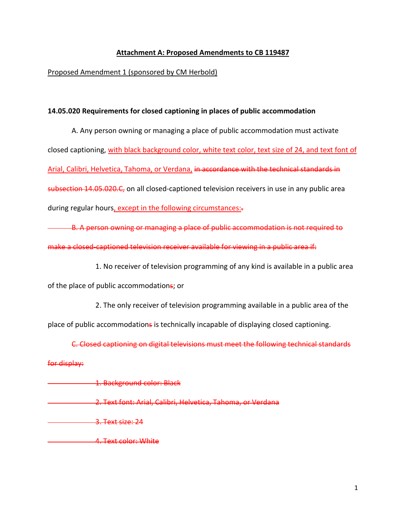# **Attachment A: Proposed Amendments to CB 119487**

## Proposed Amendment 1 (sponsored by CM Herbold)

#### **14.05.020 Requirements for closed captioning in places of public accommodation**

A. Any person owning or managing a place of public accommodation must activate closed captioning, with black background color, white text color, text size of 24, and text font of Arial, Calibri, Helvetica, Tahoma, or Verdana, in accordance with the technical standards in subsection 14.05.020.C, on all closed-captioned television receivers in use in any public area during regular hours, except in the following circumstances:-

B. A person owning or managing a place of public accommodation is not required to make a closed-captioned television receiver available for viewing in a public area if:

1. No receiver of television programming of any kind is available in a public area

of the place of public accommodations; or

2. The only receiver of television programming available in a public area of the

place of public accommodations is technically incapable of displaying closed captioning.

C. Closed captioning on digital televisions must meet the following technical standards

#### for display:

**1. Background color: Black** 

- 2. Text font: Arial, Calibri, Helvetica, Tahoma, or Verdana
- 3. Text size: 24
- 4. Text color: White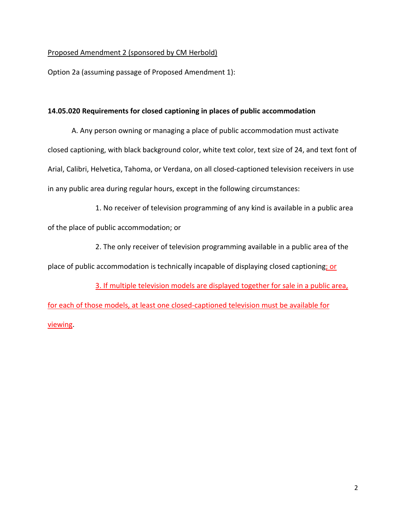## Proposed Amendment 2 (sponsored by CM Herbold)

Option 2a (assuming passage of Proposed Amendment 1):

#### **14.05.020 Requirements for closed captioning in places of public accommodation**

A. Any person owning or managing a place of public accommodation must activate closed captioning, with black background color, white text color, text size of 24, and text font of Arial, Calibri, Helvetica, Tahoma, or Verdana, on all closed-captioned television receivers in use in any public area during regular hours, except in the following circumstances:

1. No receiver of television programming of any kind is available in a public area of the place of public accommodation; or

2. The only receiver of television programming available in a public area of the place of public accommodation is technically incapable of displaying closed captioning; or

3. If multiple television models are displayed together for sale in a public area, for each of those models, at least one closed-captioned television must be available for viewing.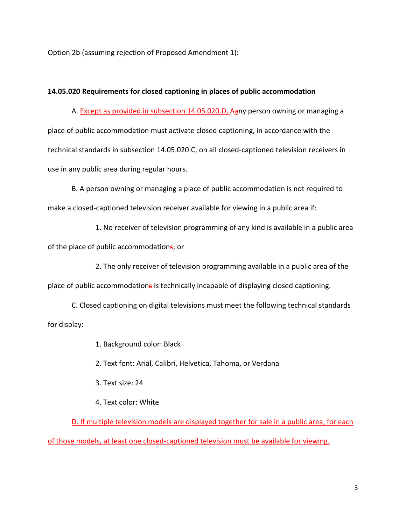Option 2b (assuming rejection of Proposed Amendment 1):

### **14.05.020 Requirements for closed captioning in places of public accommodation**

A. Except as provided in subsection 14.05.020.D, Aany person owning or managing a place of public accommodation must activate closed captioning, in accordance with the technical standards in subsection 14.05.020.C, on all closed-captioned television receivers in use in any public area during regular hours.

B. A person owning or managing a place of public accommodation is not required to make a closed-captioned television receiver available for viewing in a public area if:

1. No receiver of television programming of any kind is available in a public area of the place of public accommodations; or

2. The only receiver of television programming available in a public area of the place of public accommodations is technically incapable of displaying closed captioning.

C. Closed captioning on digital televisions must meet the following technical standards for display:

1. Background color: Black

2. Text font: Arial, Calibri, Helvetica, Tahoma, or Verdana

3. Text size: 24

4. Text color: White

D. If multiple television models are displayed together for sale in a public area, for each of those models, at least one closed-captioned television must be available for viewing.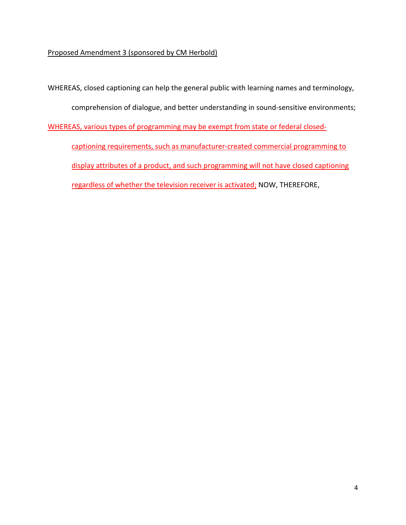# Proposed Amendment 3 (sponsored by CM Herbold)

WHEREAS, closed captioning can help the general public with learning names and terminology,

comprehension of dialogue, and better understanding in sound-sensitive environments;

WHEREAS, various types of programming may be exempt from state or federal closed-

captioning requirements, such as manufacturer-created commercial programming to display attributes of a product, and such programming will not have closed captioning regardless of whether the television receiver is activated; NOW, THEREFORE,